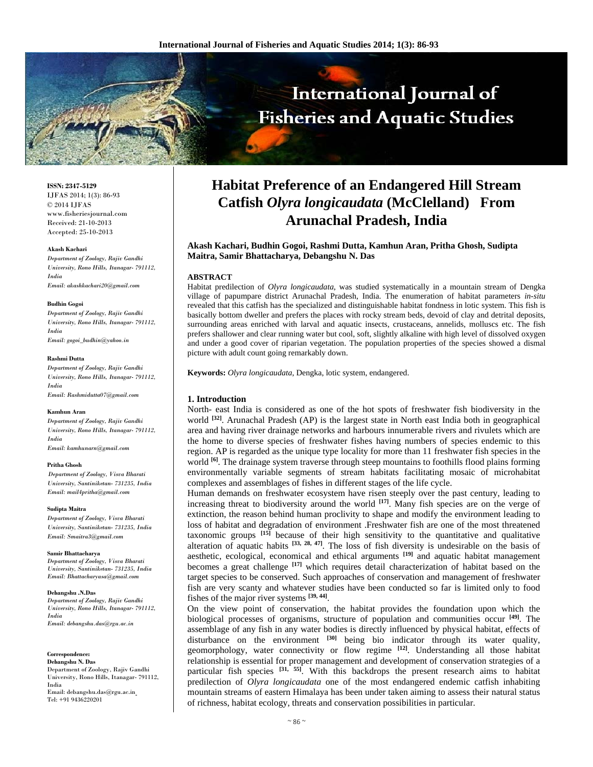

**ISSN: 2347-5129** IJFAS 2014; 1(3): 86-93 © 2014 IJFAS www.fisheriesjournal.com Received: 21-10-2013 Accepted: 25-10-2013

## **Akash Kachari**

*Department of Zoology, Rajiv Gandhi University, Rono Hills, Itanagar- 791112, India Email: akashkachari20@gmail.com* 

## **Budhin Gogoi**

*Department of Zoology, Rajiv Gandhi University, Rono Hills, Itanagar- 791112, India Email: gogoi\_budhin@yahoo.in* 

## **Rashmi Dutta**

*Department of Zoology, Rajiv Gandhi University, Rono Hills, Itanagar- 791112, India Email: Rashmidutta07@gmail.com* 

## **Kamhun Aran**

*Department of Zoology, Rajiv Gandhi University, Rono Hills, Itanagar- 791112, India Email: kamhunarn@gmail.com* 

## **Pritha Ghosh**

*Department of Zoology, Visva Bharati University, Santiniketan- 731235, India Email: mail4pritha@gmail.com* 

## **Sudipta Maitra**

*Department of Zoology, Visva Bharati University, Santiniketan- 731235, India Email: Smaitra3@gmail.com* 

## **Samir Bhattacharya**

*Department of Zoology, Visva Bharati University, Santiniketan- 731235, India Email: Bhattacharyasa@gmail.com*

## **Debangshu .N.Das**

*Department of Zoology, Rajiv Gandhi University, Rono Hills, Itanagar- 791112, India Email: debangshu.das@rgu.ac.in*

## **Correspondence:**

**Debangshu N. Das**  Department of Zoology, Rajiv Gandhi University, Rono Hills, Itanagar- 791112, India Email: debangshu.das@rgu.ac.in Tel: +91 9436220201

# **Habitat Preference of an Endangered Hill Stream Catfish** *Olyra longicaudata* **(McClelland) From Arunachal Pradesh, India**

**Akash Kachari, Budhin Gogoi, Rashmi Dutta, Kamhun Aran, Pritha Ghosh, Sudipta Maitra, Samir Bhattacharya, Debangshu N. Das** 

# **ABSTRACT**

Habitat predilection of *Olyra longicaudata*, was studied systematically in a mountain stream of Dengka village of papumpare district Arunachal Pradesh, India. The enumeration of habitat parameters *in-situ* revealed that this catfish has the specialized and distinguishable habitat fondness in lotic system. This fish is basically bottom dweller and prefers the places with rocky stream beds, devoid of clay and detrital deposits, surrounding areas enriched with larval and aquatic insects, crustaceans, annelids, molluscs etc. The fish prefers shallower and clear running water but cool, soft, slightly alkaline with high level of dissolved oxygen and under a good cover of riparian vegetation. The population properties of the species showed a dismal picture with adult count going remarkably down.

**Keywords:** *Olyra longicaudata*, Dengka, lotic system, endangered.

# **1. Introduction**

North- east India is considered as one of the hot spots of freshwater fish biodiversity in the world **[32]**. Arunachal Pradesh (AP) is the largest state in North east India both in geographical area and having river drainage networks and harbours innumerable rivers and rivulets which are the home to diverse species of freshwater fishes having numbers of species endemic to this region. AP is regarded as the unique type locality for more than 11 freshwater fish species in the world <sup>[6]</sup>. The drainage system traverse through steep mountains to foothills flood plains forming environmentally variable segments of stream habitats facilitating mosaic of microhabitat complexes and assemblages of fishes in different stages of the life cycle.

Human demands on freshwater ecosystem have risen steeply over the past century, leading to increasing threat to biodiversity around the world **[17]**. Many fish species are on the verge of extinction, the reason behind human proclivity to shape and modify the environment leading to loss of habitat and degradation of environment .Freshwater fish are one of the most threatened taxonomic groups **[15]** because of their high sensitivity to the quantitative and qualitative alteration of aquatic habits **[33, 28, 47]**. The loss of fish diversity is undesirable on the basis of aesthetic, ecological, economical and ethical arguments **[19]** and aquatic habitat management becomes a great challenge **[17]** which requires detail characterization of habitat based on the target species to be conserved. Such approaches of conservation and management of freshwater fish are very scanty and whatever studies have been conducted so far is limited only to food fishes of the major river systems **[39, 44]**.

On the view point of conservation, the habitat provides the foundation upon which the biological processes of organisms, structure of population and communities occur **[49]**. The assemblage of any fish in any water bodies is directly influenced by physical habitat, effects of disturbance on the environment <sup>[30]</sup> being bio indicator through its water quality, geomorphology, water connectivity or flow regime **[12]**. Understanding all those habitat relationship is essential for proper management and development of conservation strategies of a particular fish species **[31, 55]**. With this backdrops the present research aims to habitat predilection of *Olyra longicaudata* one of the most endangered endemic catfish inhabiting mountain streams of eastern Himalaya has been under taken aiming to assess their natural status of richness, habitat ecology, threats and conservation possibilities in particular.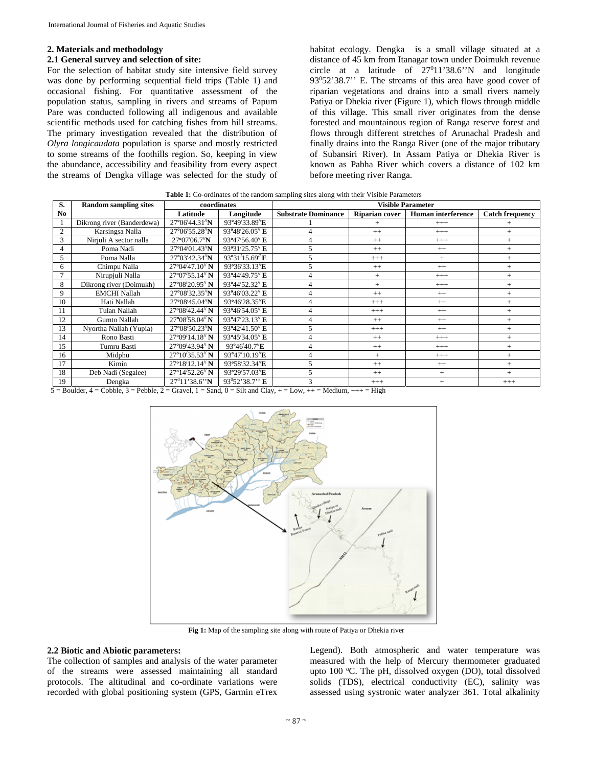# **2. Materials and methodology**

## **2.1 General survey and selection of site:**

For the selection of habitat study site intensive field survey was done by performing sequential field trips (Table 1) and occasional fishing. For quantitative assessment of the population status, sampling in rivers and streams of Papum Pare was conducted following all indigenous and available scientific methods used for catching fishes from hill streams. The primary investigation revealed that the distribution of *Olyra longicaudata* population is sparse and mostly restricted to some streams of the foothills region. So, keeping in view the abundance, accessibility and feasibility from every aspect the streams of Dengka village was selected for the study of habitat ecology. Dengka is a small village situated at a distance of 45 km from Itanagar town under Doimukh revenue circle at a latitude of  $27^011'38.6''$  and longitude 93º52'38.7" E. The streams of this area have good cover of riparian vegetations and drains into a small rivers namely Patiya or Dhekia river (Figure 1), which flows through middle of this village. This small river originates from the dense forested and mountainous region of Ranga reserve forest and flows through different stretches of Arunachal Pradesh and finally drains into the Ranga River (one of the major tributary of Subansiri River). In Assam Patiya or Dhekia River is known as Pabha River which covers a distance of 102 km before meeting river Ranga.

| <b>Table 1:</b> Co-ordinates of the random sampling sites along with their Visible Parameters |  |  |  |  |  |
|-----------------------------------------------------------------------------------------------|--|--|--|--|--|
|-----------------------------------------------------------------------------------------------|--|--|--|--|--|

| S.             | <b>Random sampling sites</b> | coordinates              |                                 | <b>Visible Parameter</b>   |                       |                           |                        |
|----------------|------------------------------|--------------------------|---------------------------------|----------------------------|-----------------------|---------------------------|------------------------|
| N <sub>0</sub> |                              | Latitude                 | Longitude                       | <b>Substrate Dominance</b> | <b>Riparian cover</b> | <b>Human</b> interference | <b>Catch frequency</b> |
|                | Dikrong river (Banderdewa)   | $27^{\circ}06'44.31''$ N | 93°49′33.89″E                   |                            |                       | $^{+++}$                  |                        |
| 2              | Karsingsa Nalla              | $27^{\circ}06'55.28''$ N | $93^{\circ}48'26.05''$ E        |                            | $++$                  | $^{+++}$                  | $^{+}$                 |
| 3              | Nirjuli A sector nalla       | $27^{\circ}07'06.7''N$   | 93°47′56.40″ E                  |                            | $++$                  | $+++$                     | $^{+}$                 |
|                | Poma Nadi                    | $27^{\circ}04'01.43''N$  | 93°31′25.75″ E                  | 5                          | $++$                  | $^{++}$                   | $^{+}$                 |
|                | Poma Nalla                   | $27^{\circ}03'42.34''$ N | $93^{\circ}31'15.69''$ <b>E</b> |                            | $^{+++}$              | $+$                       | $^{+}$                 |
| 6              | Chimpu Nalla                 | $27^{\circ}04'47.10''$ N | $93^{\circ}36'33.13''E$         |                            | $++$                  | $^{++}$                   | $^{+}$                 |
|                | Nirupjuli Nalla              | 27°07′55.14″ N           | $93^{\circ}44'49.75''$ E        | 4                          | $+$                   | $+++$                     | $+$                    |
| 8              | Dikrong river (Doimukh)      | $27^{\circ}08'20.95''$ N | $93^{\circ}44'52.32''$ E        |                            | $^{+}$                | $^{+++}$                  | $^{+}$                 |
| 9              | <b>EMCHI Nallah</b>          | 27°08′32.35″N            | 93°46′03.22″ E                  |                            | $++$                  | $++$                      | $^{+}$                 |
| 10             | Hati Nallah                  | $27^{\circ}08'45.04''$ N | 93°46′28.35″E                   | 4                          | $^{+++}$              | $^{++}$                   | $^{+}$                 |
| 11             | Tulan Nallah                 | $27^{\circ}08'42.44''$ N | $93^{\circ}46'54.05''$ E        | 4                          | $^{+++}$              | $^{++}$                   | $^{+}$                 |
| 12             | Gumto Nallah                 | 27°08'58.04" N           | 93°47′23.13″ E                  | $\overline{4}$             | $++$                  | $++$                      | $^{+}$                 |
| 13             | Nyortha Nallah (Yupia)       | $27^{\circ}08'50.23''$ N | 93°42′41.50″ E                  | 5                          | $^{+++}$              | $++$                      | $^{+}$                 |
| 14             | Rono Basti                   | $27^{\circ}09'14.18''$ N | 93°45′34.05″ E                  |                            | $++$                  | $^{+++}$                  | $^{+}$                 |
| 15             | Tumru Basti                  | 27°09'43.94" N           | 93°46′40.7″E                    | 4                          | $++$                  | $^{+++}$                  | $^{+}$                 |
| 16             | Midphu                       | $27^{\circ}10'35.53''$ N | 93°47'10.19''E                  | 4                          | $+$                   | $^{+++}$                  | $^{+}$                 |
| 17             | Kimin                        | $27^{\circ}18'12.14''$ N | 93°58′32.34″E                   | 5                          | $++$                  | $++$                      | $^{+}$                 |
| 18             | Deb Nadi (Segalee)           | $27^{\circ}14'52.26''$ N | 93°29′57.03″E                   | 5                          | $++$                  | $+$                       | $^{+}$                 |
| 19             | Dengka                       | $27^011'38.6''N$         | $93^052'38.7''$ E               | 3                          | $^{+++}$              | $^{+}$                    | $^{+++}$               |

 $5 =$  Boulder,  $4 =$  Cobble,  $3 =$  Pebble,  $2 =$  Gravel,  $1 =$  Sand,  $0 =$  Silt and Clay,  $+ =$  Low,  $++ =$  Medium,  $++ =$  High



**Fig 1:** Map of the sampling site along with route of Patiya or Dhekia river

# **2.2 Biotic and Abiotic parameters:**

The collection of samples and analysis of the water parameter of the streams were assessed maintaining all standard protocols. The altitudinal and co-ordinate variations were recorded with global positioning system (GPS, Garmin eTrex

Legend). Both atmospheric and water temperature was measured with the help of Mercury thermometer graduated upto 100 °C. The pH, dissolved oxygen (DO), total dissolved solids (TDS), electrical conductivity (EC), salinity was assessed using systronic water analyzer 361. Total alkalinity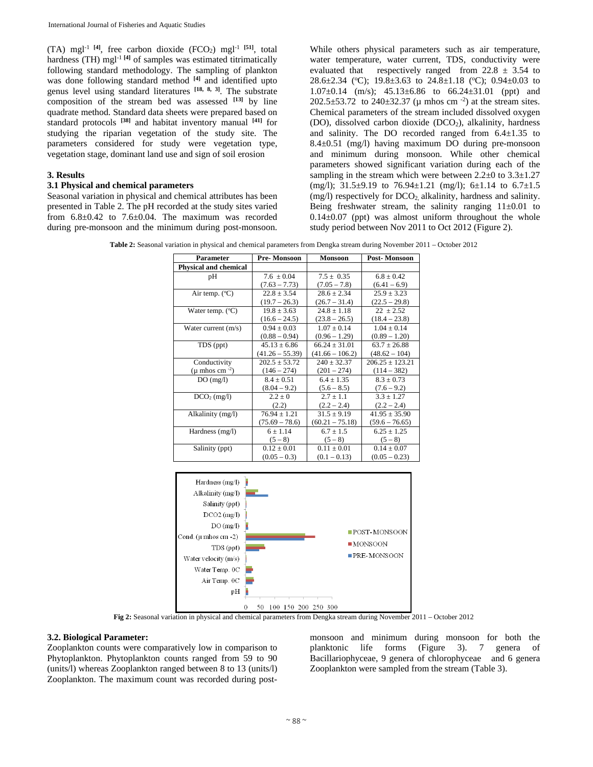$(TA)$  mgl<sup>-1 [4]</sup>, free carbon dioxide  $(FCO<sub>2</sub>)$  mgl<sup>-1 [51]</sup>, total hardness (TH) mgl<sup>-1 [4]</sup> of samples was estimated titrimatically following standard methodology. The sampling of plankton was done following standard method **[4]** and identified upto genus level using standard literatures **[18, 8, 3]**. The substrate composition of the stream bed was assessed **[13]** by line quadrate method. Standard data sheets were prepared based on standard protocols **[38]** and habitat inventory manual **[41]** for studying the riparian vegetation of the study site. The parameters considered for study were vegetation type, vegetation stage, dominant land use and sign of soil erosion

# **3. Results**

# **3.1 Physical and chemical parameters**

Seasonal variation in physical and chemical attributes has been presented in Table 2. The pH recorded at the study sites varied from  $6.8\pm0.42$  to  $7.6\pm0.04$ . The maximum was recorded during pre-monsoon and the minimum during post-monsoon.

While others physical parameters such as air temperature, water temperature, water current, TDS, conductivity were evaluated that respectively ranged from  $22.8 \pm 3.54$  to 28.6 $\pm$ 2.34 (°C); 19.8 $\pm$ 3.63 to 24.8 $\pm$ 1.18 (°C); 0.94 $\pm$ 0.03 to 1.07 $\pm$ 0.14 (m/s); 45.13 $\pm$ 6.86 to 66.24 $\pm$ 31.01 (ppt) and 202.5 $\pm$ 53.72 to 240 $\pm$ 32.37 ( $\mu$  mhos cm<sup>-2</sup>) at the stream sites. Chemical parameters of the stream included dissolved oxygen (DO), dissolved carbon dioxide (DCO<sub>2</sub>), alkalinity, hardness and salinity. The DO recorded ranged from  $6.4 \pm 1.35$  to 8.4±0.51 (mg/l) having maximum DO during pre-monsoon and minimum during monsoon. While other chemical parameters showed significant variation during each of the sampling in the stream which were between  $2.2\pm 0$  to  $3.3\pm 1.27$ (mg/l);  $31.5\pm9.19$  to  $76.94\pm1.21$  (mg/l);  $6\pm1.14$  to  $6.7\pm1.5$ (mg/l) respectively for DCO<sub>2</sub>, alkalinity, hardness and salinity. Being freshwater stream, the salinity ranging  $11\pm0.01$  to  $0.14\pm0.07$  (ppt) was almost uniform throughout the whole study period between Nov 2011 to Oct 2012 (Figure 2).

**Table 2:** Seasonal variation in physical and chemical parameters from Dengka stream during November 2011 – October 2012

| Parameter                    | Pre-Monsoon       | <b>Monsoon</b>    | <b>Post-Monsoon</b> |
|------------------------------|-------------------|-------------------|---------------------|
| <b>Physical and chemical</b> |                   |                   |                     |
| рH                           | $7.6 \pm 0.04$    | $7.5 \pm 0.35$    | $6.8 \pm 0.42$      |
|                              | $(7.63 - 7.73)$   | $(7.05 - 7.8)$    | $(6.41 - 6.9)$      |
| Air temp. $(^{\circ}C)$      | $22.8 \pm 3.54$   | $28.6 \pm 2.34$   | $25.9 \pm 3.23$     |
|                              | $(19.7 - 26.3)$   | $(26.7 - 31.4)$   | $(22.5 - 29.8)$     |
| Water temp. $(^{\circ}C)$    | $19.8 \pm 3.63$   | $24.8 \pm 1.18$   | $22 \pm 2.52$       |
|                              | $(16.6 - 24.5)$   | $(23.8 - 26.5)$   | $(18.4 - 23.8)$     |
| Water current $(m/s)$        | $0.94 \pm 0.03$   | $1.07 \pm 0.14$   | $1.04 \pm 0.14$     |
|                              | $(0.88 - 0.94)$   | $(0.96 - 1.29)$   | $(0.89 - 1.20)$     |
| TDS (ppt)                    | $45.13 \pm 6.86$  | $66.24 \pm 31.01$ | $63.7 \pm 26.88$    |
|                              | $(41.26 - 55.39)$ | $(41.66 - 106.2)$ | $(48.62 - 104)$     |
| Conductivity                 | $202.5 \pm 53.72$ | $240 \pm 32.37$   | $206.25 \pm 123.21$ |
| ( $\mu$ mhos cm $^{-2}$ )    | $(146 - 274)$     | $(201 - 274)$     | $(114 - 382)$       |
| DO(mg/l)                     | $8.4 \pm 0.51$    | $6.4 \pm 1.35$    | $8.3 \pm 0.73$      |
|                              | $(8.04 - 9.2)$    | $(5.6 - 8.5)$     | $(7.6 - 9.2)$       |
| $DCO2$ (mg/l)                | $2.2 \pm 0$       | $2.7 \pm 1.1$     | $3.3 \pm 1.27$      |
|                              | (2.2)             | $(2.2 - 2.4)$     | $(2.2 - 2.4)$       |
| Alkalinity (mg/l)            | $76.94 \pm 1.21$  | $31.5 \pm 9.19$   | $41.95 \pm 35.90$   |
|                              | $(75.69 - 78.6)$  | $(60.21 - 75.18)$ | $(59.6 - 76.65)$    |
| Hardness (mg/l)              | $6 \pm 1.14$      | $6.7 \pm 1.5$     | $6.25 \pm 1.25$     |
|                              | $(5 - 8)$         | $(5 - 8)$         | $(5 - 8)$           |
| Salinity (ppt)               | $0.12 \pm 0.01$   | $0.11 \pm 0.01$   | $0.14 \pm 0.07$     |
|                              | $(0.05 - 0.3)$    | $(0.1 - 0.13)$    | $(0.05 - 0.23)$     |



**Fig 2:** Seasonal variation in physical and chemical parameters from Dengka stream during November 2011 – October 2012

# **3.2. Biological Parameter:**

Zooplankton counts were comparatively low in comparison to Phytoplankton. Phytoplankton counts ranged from 59 to 90 (units/l) whereas Zooplankton ranged between 8 to 13 (units/l) Zooplankton. The maximum count was recorded during postmonsoon and minimum during monsoon for both the planktonic life forms (Figure 3). 7 genera of Bacillariophyceae, 9 genera of chlorophyceae and 6 genera Zooplankton were sampled from the stream (Table 3).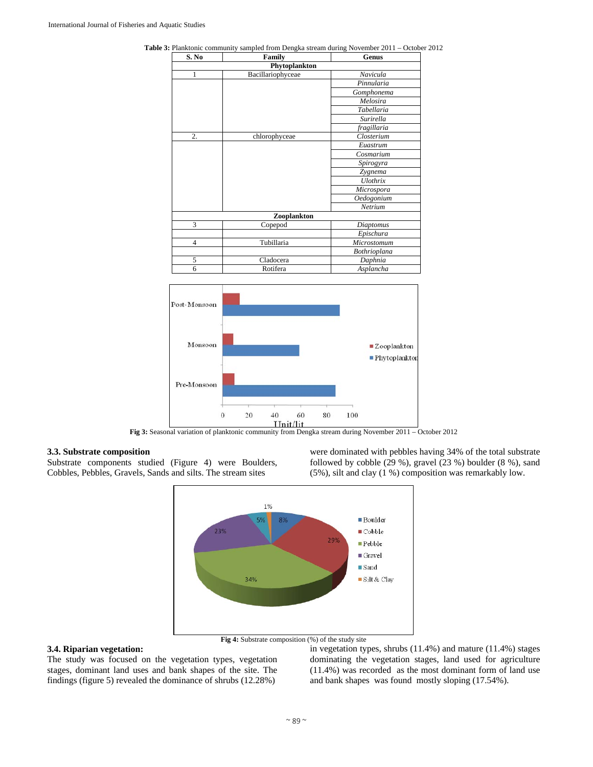| S. No          | Family            | Genus               |
|----------------|-------------------|---------------------|
|                | Phytoplankton     |                     |
| $\mathbf{1}$   | Bacillariophyceae | Navicula            |
|                |                   | Pinnularia          |
|                |                   | Gomphonema          |
|                |                   | Melosira            |
|                |                   | Tabellaria          |
|                |                   | Surirella           |
|                |                   | fragillaria         |
| 2.             | chlorophyceae     | Closterium          |
|                |                   | Euastrum            |
|                |                   | Cosmarium           |
|                |                   | Spirogyra           |
|                |                   | Zygnema             |
|                |                   | Ulothrix            |
|                |                   | Microspora          |
|                |                   | Oedogonium          |
|                |                   | Netrium             |
|                | Zooplankton       |                     |
| 3              | Copepod           | Diaptomus           |
|                |                   | Epischura           |
| $\overline{4}$ | Tubillaria        | Microstomum         |
|                |                   | <b>Bothrioplana</b> |
| 5              | Cladocera         | Daphnia             |
| 6              | Rotifera          | Asplancha           |

**Table 3:** Planktonic community sampled from Dengka stream during November 2011 – October 2012



**Fig 3:** Seasonal variation of planktonic community from Dengka stream during November 2011 – October 2012

# **3.3. Substrate composition**

Substrate components studied (Figure 4) were Boulders, Cobbles, Pebbles, Gravels, Sands and silts. The stream sites

were dominated with pebbles having 34% of the total substrate followed by cobble (29 %), gravel (23 %) boulder (8 %), sand (5%), silt and clay (1 %) composition was remarkably low.



# **3.4. Riparian vegetation:**

The study was focused on the vegetation types, vegetation stages, dominant land uses and bank shapes of the site. The findings (figure 5) revealed the dominance of shrubs (12.28%)

in vegetation types, shrubs (11.4%) and mature (11.4%) stages dominating the vegetation stages, land used for agriculture (11.4%) was recorded as the most dominant form of land use and bank shapes was found mostly sloping (17.54%).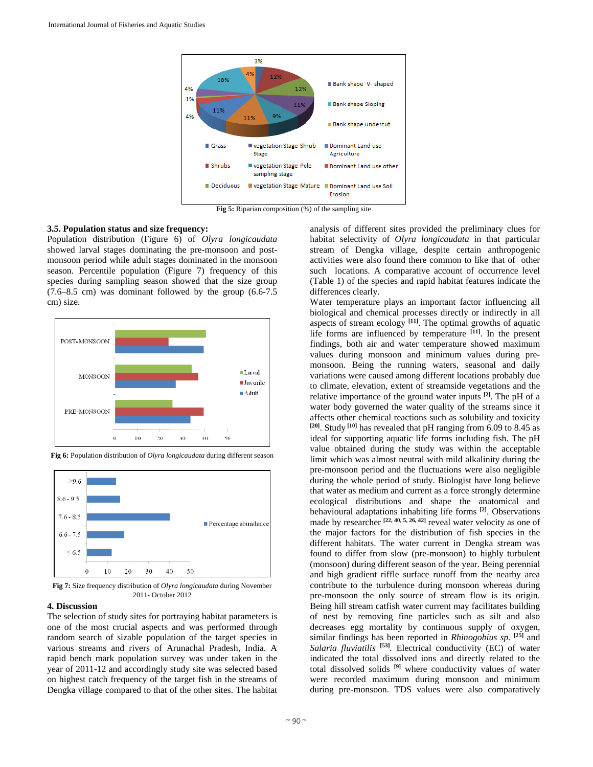

**Fig 5:** Riparian composition (%) of the sampling site

# **3.5. Population status and size frequency:**

Population distribution (Figure 6) of *Olyra longicaudata*  showed larval stages dominating the pre-monsoon and postmonsoon period while adult stages dominated in the monsoon season. Percentile population (Figure 7) frequency of this species during sampling season showed that the size group  $(7.6–8.5 \text{ cm})$  was dominant followed by the group  $(6.6–7.5 \text{ cm})$ cm) size.



**Fig 6:** Population distribution of *Olyra longicaudata* during different season



**Fig 7:** Size frequency distribution of *Olyra longicaudata* during November 2011- October 2012

# **4. Discussion**

The selection of study sites for portraying habitat parameters is one of the most crucial aspects and was performed through random search of sizable population of the target species in various streams and rivers of Arunachal Pradesh, India. A rapid bench mark population survey was under taken in the year of 2011-12 and accordingly study site was selected based on highest catch frequency of the target fish in the streams of Dengka village compared to that of the other sites. The habitat

analysis of different sites provided the preliminary clues for habitat selectivity of *Olyra longicaudata* in that particular stream of Dengka village, despite certain anthropogenic activities were also found there common to like that of other such locations. A comparative account of occurrence level (Table 1) of the species and rapid habitat features indicate the differences clearly.

Water temperature plays an important factor influencing all biological and chemical processes directly or indirectly in all aspects of stream ecology **[11]**. The optimal growths of aquatic life forms are influenced by temperature **[11]**. In the present findings, both air and water temperature showed maximum values during monsoon and minimum values during premonsoon. Being the running waters, seasonal and daily variations were caused among different locations probably due to climate, elevation, extent of streamside vegetations and the relative importance of the ground water inputs **[2]**. The pH of a water body governed the water quality of the streams since it affects other chemical reactions such as solubility and toxicity **[20]**. Study **[10]** has revealed that pH ranging from 6.09 to 8.45 as ideal for supporting aquatic life forms including fish. The pH value obtained during the study was within the acceptable limit which was almost neutral with mild alkalinity during the pre-monsoon period and the fluctuations were also negligible during the whole period of study. Biologist have long believe that water as medium and current as a force strongly determine ecological distributions and shape the anatomical and behavioural adaptations inhabiting life forms **[2]**. Observations made by researcher **[22, 40, 5, 26, 42]** reveal water velocity as one of the major factors for the distribution of fish species in the different habitats. The water current in Dengka stream was found to differ from slow (pre-monsoon) to highly turbulent (monsoon) during different season of the year. Being perennial and high gradient riffle surface runoff from the nearby area contribute to the turbulence during monsoon whereas during pre-monsoon the only source of stream flow is its origin. Being hill stream catfish water current may facilitates building of nest by removing fine particles such as silt and also decreases egg mortality by continuous supply of oxygen, similar findings has been reported in *Rhinogobius sp.* **[25]** and *Salaria fluviatilis* **[53]***.* Electrical conductivity (EC) of water indicated the total dissolved ions and directly related to the total dissolved solids **[9]** where conductivity values of water were recorded maximum during monsoon and minimum during pre-monsoon. TDS values were also comparatively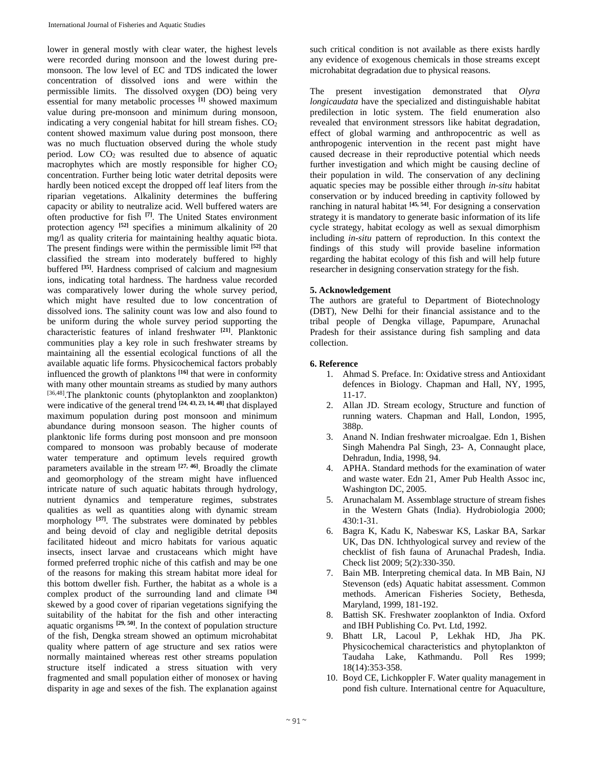lower in general mostly with clear water, the highest levels were recorded during monsoon and the lowest during premonsoon. The low level of EC and TDS indicated the lower concentration of dissolved ions and were within the permissible limits. The dissolved oxygen (DO) being very essential for many metabolic processes **[1]** showed maximum value during pre-monsoon and minimum during monsoon, indicating a very congenial habitat for hill stream fishes.  $CO<sub>2</sub>$ content showed maximum value during post monsoon, there was no much fluctuation observed during the whole study period. Low  $CO<sub>2</sub>$  was resulted due to absence of aquatic macrophytes which are mostly responsible for higher  $CO<sub>2</sub>$ concentration. Further being lotic water detrital deposits were hardly been noticed except the dropped off leaf liters from the riparian vegetations. Alkalinity determines the buffering capacity or ability to neutralize acid. Well buffered waters are often productive for fish **[7]**. The United States environment protection agency **[52]** specifies a minimum alkalinity of 20 mg/l as quality criteria for maintaining healthy aquatic biota. The present findings were within the permissible limit **[52]** that classified the stream into moderately buffered to highly buffered **[35]**. Hardness comprised of calcium and magnesium ions, indicating total hardness. The hardness value recorded was comparatively lower during the whole survey period, which might have resulted due to low concentration of dissolved ions. The salinity count was low and also found to be uniform during the whole survey period supporting the characteristic features of inland freshwater **[21]**. Planktonic communities play a key role in such freshwater streams by maintaining all the essential ecological functions of all the available aquatic life forms. Physicochemical factors probably influenced the growth of planktons **[16]** that were in conformity with many other mountain streams as studied by many authors [36,48]. The planktonic counts (phytoplankton and zooplankton) were indicative of the general trend **[24, 43, 23, 14, 48]** that displayed maximum population during post monsoon and minimum abundance during monsoon season. The higher counts of planktonic life forms during post monsoon and pre monsoon compared to monsoon was probably because of moderate water temperature and optimum levels required growth parameters available in the stream **[27, 46]**. Broadly the climate and geomorphology of the stream might have influenced intricate nature of such aquatic habitats through hydrology, nutrient dynamics and temperature regimes, substrates qualities as well as quantities along with dynamic stream morphology **[37]**. The substrates were dominated by pebbles and being devoid of clay and negligible detrital deposits facilitated hideout and micro habitats for various aquatic insects, insect larvae and crustaceans which might have formed preferred trophic niche of this catfish and may be one of the reasons for making this stream habitat more ideal for this bottom dweller fish. Further, the habitat as a whole is a complex product of the surrounding land and climate **[34]** skewed by a good cover of riparian vegetations signifying the suitability of the habitat for the fish and other interacting aquatic organisms **[29, 50]**. In the context of population structure of the fish, Dengka stream showed an optimum microhabitat quality where pattern of age structure and sex ratios were normally maintained whereas rest other streams population structure itself indicated a stress situation with very fragmented and small population either of monosex or having disparity in age and sexes of the fish. The explanation against such critical condition is not available as there exists hardly any evidence of exogenous chemicals in those streams except microhabitat degradation due to physical reasons.

The present investigation demonstrated that *Olyra longicaudata* have the specialized and distinguishable habitat predilection in lotic system. The field enumeration also revealed that environment stressors like habitat degradation, effect of global warming and anthropocentric as well as anthropogenic intervention in the recent past might have caused decrease in their reproductive potential which needs further investigation and which might be causing decline of their population in wild. The conservation of any declining aquatic species may be possible either through *in-situ* habitat conservation or by induced breeding in captivity followed by ranching in natural habitat **[45, 54]**. For designing a conservation strategy it is mandatory to generate basic information of its life cycle strategy, habitat ecology as well as sexual dimorphism including *in-situ* pattern of reproduction. In this context the findings of this study will provide baseline information regarding the habitat ecology of this fish and will help future researcher in designing conservation strategy for the fish.

# **5. Acknowledgement**

The authors are grateful to Department of Biotechnology (DBT), New Delhi for their financial assistance and to the tribal people of Dengka village, Papumpare, Arunachal Pradesh for their assistance during fish sampling and data collection.

# **6. Reference**

- 1. Ahmad S. Preface. In: Oxidative stress and Antioxidant defences in Biology. Chapman and Hall, NY, 1995, 11-17.
- 2. Allan JD. Stream ecology, Structure and function of running waters. Chapman and Hall, London, 1995, 388p.
- 3. Anand N. Indian freshwater microalgae. Edn 1, Bishen Singh Mahendra Pal Singh, 23- A, Connaught place, Dehradun, India, 1998, 94.
- 4. APHA. Standard methods for the examination of water and waste water. Edn 21, Amer Pub Health Assoc inc, Washington DC, 2005.
- 5. Arunachalam M. Assemblage structure of stream fishes in the Western Ghats (India). Hydrobiologia 2000; 430:1-31.
- 6. Bagra K, Kadu K, Nabeswar KS, Laskar BA, Sarkar UK, Das DN. Ichthyological survey and review of the checklist of fish fauna of Arunachal Pradesh, India. Check list 2009; 5(2):330-350.
- 7. Bain MB. Interpreting chemical data. In MB Bain, NJ Stevenson (eds) Aquatic habitat assessment. Common methods. American Fisheries Society, Bethesda, Maryland, 1999, 181-192.
- 8. Battish SK. Freshwater zooplankton of India. Oxford and IBH Publishing Co. Pvt. Ltd, 1992.
- 9. Bhatt LR, Lacoul P, Lekhak HD, Jha PK. Physicochemical characteristics and phytoplankton of Taudaha Lake, Kathmandu. Poll Res 1999; 18(14):353-358.
- 10. Boyd CE, Lichkoppler F. Water quality management in pond fish culture. International centre for Aquaculture,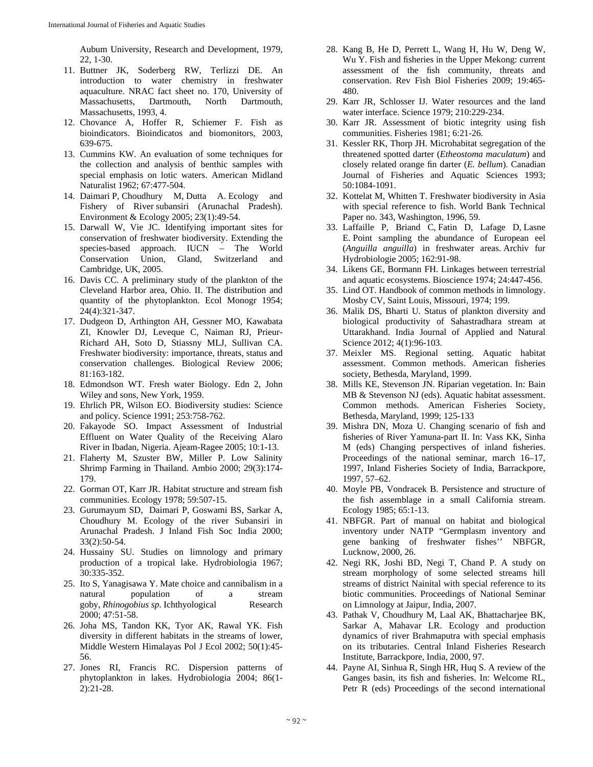Aubum University, Research and Development, 1979, 22, 1-30.

- 11. Buttner JK, Soderberg RW, Terlizzi DE. An introduction to water chemistry in freshwater aquaculture. NRAC fact sheet no. 170, University of Massachusetts, Dartmouth, North Dartmouth, Massachusetts, 1993, 4.
- 12. Chovance A, Hoffer R, Schiemer F. Fish as bioindicators. Bioindicatos and biomonitors, 2003, 639-675.
- 13. Cummins KW. An evaluation of some techniques for the collection and analysis of benthic samples with special emphasis on lotic waters. American Midland Naturalist 1962; 67:477-504.
- 14. Daimari P, Choudhury M, Dutta A. Ecology and Fishery of River subansiri (Arunachal Pradesh). Environment & Ecology 2005; 23(1):49-54.
- 15. Darwall W, Vie JC. Identifying important sites for conservation of freshwater biodiversity. Extending the species-based approach. IUCN – The World Conservation Union, Gland, Switzerland and Cambridge, UK, 2005.
- 16. Davis CC. A preliminary study of the plankton of the Cleveland Harbor area, Ohio. II. The distribution and quantity of the phytoplankton. Ecol Monogr 1954; 24(4):321-347.
- 17. Dudgeon D, Arthington AH, Gessner MO, Kawabata ZI, Knowler DJ, Leveque C, Naiman RJ, Prieur-Richard AH, Soto D, Stiassny MLJ, Sullivan CA. Freshwater biodiversity: importance, threats, status and conservation challenges. Biological Review 2006; 81:163-182.
- 18. Edmondson WT. Fresh water Biology. Edn 2, John Wiley and sons, New York, 1959.
- 19. Ehrlich PR, Wilson EO. Biodiversity studies: Science and policy. Science 1991; 253:758-762.
- 20. Fakayode SO. Impact Assessment of Industrial Effluent on Water Quality of the Receiving Alaro River in Ibadan, Nigeria. Ajeam-Ragee 2005; 10:1-13.
- 21. Flaherty M, Szuster BW, Miller P. Low Salinity Shrimp Farming in Thailand. Ambio 2000; 29(3):174- 179.
- 22. Gorman OT, Karr JR. Habitat structure and stream fish communities. Ecology 1978; 59:507-15.
- 23. Gurumayum SD, Daimari P, Goswami BS, Sarkar A, Choudhury M. Ecology of the river Subansiri in Arunachal Pradesh. J Inland Fish Soc India 2000; 33(2):50-54.
- 24. Hussainy SU. Studies on limnology and primary production of a tropical lake. Hydrobiologia 1967; 30:335-352.
- 25. Ito S, Yanagisawa Y. Mate choice and cannibalism in a natural population of a stream goby, *Rhinogobius sp*. Ichthyological Research 2000; 47:51-58.
- 26. Joha MS, Tandon KK, Tyor AK, Rawal YK. Fish diversity in different habitats in the streams of lower, Middle Western Himalayas Pol J Ecol 2002; 50(1):45- 56.
- 27. Jones RI, Francis RC. Dispersion patterns of phytoplankton in lakes. Hydrobiologia 2004; 86(1- 2):21-28.
- 28. Kang B, He D, Perrett L, Wang H, Hu W, Deng W, Wu Y. Fish and fisheries in the Upper Mekong: current assessment of the fish community, threats and conservation. Rev Fish Biol Fisheries 2009; 19:465- 480.
- 29. Karr JR, Schlosser IJ. Water resources and the land water interface. Science 1979; 210:229-234.
- 30. Karr JR. Assessment of biotic integrity using fish communities. Fisheries 1981; 6:21-26.
- 31. Kessler RK, Thorp JH. Microhabitat segregation of the threatened spotted darter (*Etheostoma maculatum*) and closely related orange fin darter (*E. bellum*). Canadian Journal of Fisheries and Aquatic Sciences 1993; 50:1084-1091.
- 32. Kottelat M, Whitten T. Freshwater biodiversity in Asia with special reference to fish. World Bank Technical Paper no. 343, Washington, 1996, 59.
- 33. Laffaille P, Briand C, Fatin D, Lafage D, Lasne E. Point sampling the abundance of European eel (*Anguilla anguilla*) in freshwater areas. Archiv fur Hydrobiologie 2005; 162:91-98.
- 34. Likens GE, Bormann FH. Linkages between terrestrial and aquatic ecosystems. Bioscience 1974; 24:447-456.
- 35. Lind OT. Handbook of common methods in limnology. Mosby CV, Saint Louis, Missouri, 1974; 199.
- 36. Malik DS, Bharti U. Status of plankton diversity and biological productivity of Sahastradhara stream at Uttarakhand. India Journal of Applied and Natural Science 2012; 4(1):96-103.
- 37. Meixler MS. Regional setting. Aquatic habitat assessment. Common methods. American fisheries society, Bethesda, Maryland, 1999.
- 38. Mills KE, Stevenson JN. Riparian vegetation. In: Bain MB & Stevenson NJ (eds). Aquatic habitat assessment. Common methods. American Fisheries Society, Bethesda, Maryland, 1999; 125-133
- 39. Mishra DN, Moza U. Changing scenario of fish and fisheries of River Yamuna-part II. In: Vass KK, Sinha M (eds) Changing perspectives of inland fisheries. Proceedings of the national seminar, march 16–17, 1997, Inland Fisheries Society of India, Barrackpore, 1997, 57–62.
- 40. Moyle PB, Vondracek B. Persistence and structure of the fish assemblage in a small California stream. Ecology 1985; 65:1-13.
- 41. NBFGR. Part of manual on habitat and biological inventory under NATP "Germplasm inventory and gene banking of freshwater fishes'' NBFGR, Lucknow, 2000, 26.
- 42. Negi RK, Joshi BD, Negi T, Chand P. A study on stream morphology of some selected streams hill streams of district Nainital with special reference to its biotic communities. Proceedings of National Seminar on Limnology at Jaipur, India, 2007.
- 43. Pathak V, Choudhury M, Laal AK, Bhattacharjee BK, Sarkar A, Mahavar LR. Ecology and production dynamics of river Brahmaputra with special emphasis on its tributaries. Central Inland Fisheries Research Institute, Barrackpore, India, 2000, 97.
- 44. Payne AI, Sinhua R, Singh HR, Huq S. A review of the Ganges basin, its fish and fisheries. In: Welcome RL, Petr R (eds) Proceedings of the second international